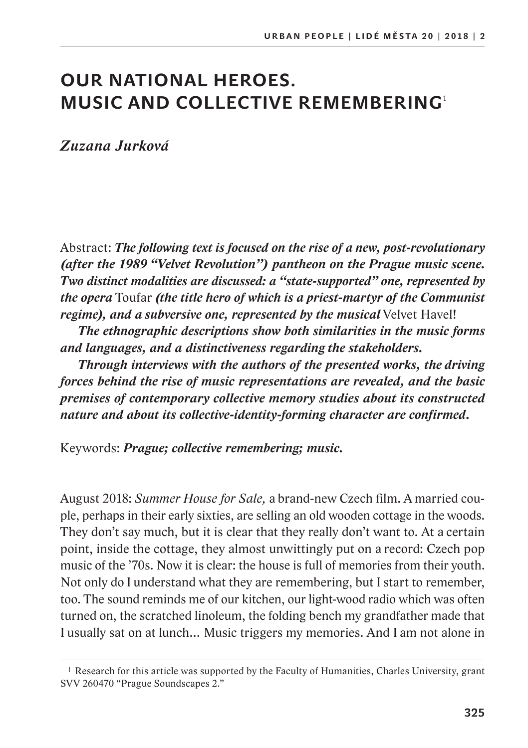# **OUR NATIONAL HEROES. MUSIC AND COLLECTIVE REMEMBERING**<sup>1</sup>

*Zuzana Jurková*

Abstract: *The following text is focused on the rise of a new, post-revolutionary (after the 1989 "Velvet Revolution") pantheon on the Prague music scene. Two distinct modalities are discussed: a "state-supported" one, represented by the opera* Toufar *(the title hero of which is a priest-martyr of the Communist regime), and a subversive one, represented by the musical* Velvet Havel!

*The ethnographic descriptions show both similarities in the music forms and languages, and a distinctiveness regarding the stakeholders.*

*Through interviews with the authors of the presented works, the driving forces behind the rise of music representations are revealed, and the basic premises of contemporary collective memory studies about its constructed nature and about its collective-identity-forming character are confirmed.*

Keywords: *Prague; collective remembering; music.*

August 2018: *Summer House for Sale,* a brand-new Czech film. A married couple, perhaps in their early sixties, are selling an old wooden cottage in the woods. They don't say much, but it is clear that they really don't want to. At a certain point, inside the cottage, they almost unwittingly put on a record: Czech pop music of the '70s. Now it is clear: the house is full of memories from their youth. Not only do I understand what they are remembering, but I start to remember, too. The sound reminds me of our kitchen, our light-wood radio which was often turned on, the scratched linoleum, the folding bench my grandfather made that I usually sat on at lunch… Music triggers my memories. And I am not alone in

<sup>1</sup> Research for this article was supported by the Faculty of Humanities, Charles University, grant SVV 260470 "Prague Soundscapes 2."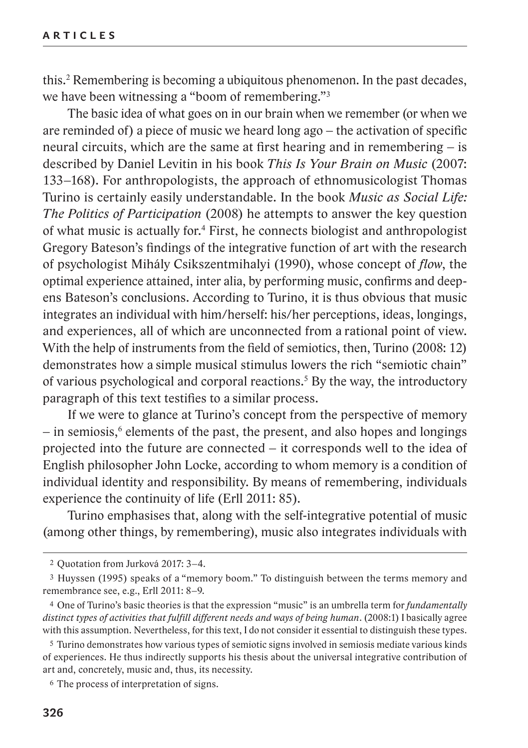this.2 Remembering is becoming a ubiquitous phenomenon. In the past decades, we have been witnessing a "boom of remembering."<sup>3</sup>

The basic idea of what goes on in our brain when we remember (or when we are reminded of) a piece of music we heard long ago – the activation of specific neural circuits, which are the same at first hearing and in remembering – is described by Daniel Levitin in his book *This Is Your Brain on Music* (2007: 133–168). For anthropologists, the approach of ethnomusicologist Thomas Turino is certainly easily understandable. In the book *Music as Social Life: The Politics of Participation* (2008) he attempts to answer the key question of what music is actually for.4 First, he connects biologist and anthropologist Gregory Bateson's findings of the integrative function of art with the research of psychologist Mihály Csikszentmihalyi (1990), whose concept of *flow*, the optimal experience attained, inter alia, by performing music, confirms and deepens Bateson's conclusions. According to Turino, it is thus obvious that music integrates an individual with him/herself: his/her perceptions, ideas, longings, and experiences, all of which are unconnected from a rational point of view. With the help of instruments from the field of semiotics, then, Turino (2008: 12) demonstrates how a simple musical stimulus lowers the rich "semiotic chain" of various psychological and corporal reactions.<sup>5</sup> By the way, the introductory paragraph of this text testifies to a similar process.

If we were to glance at Turino's concept from the perspective of memory – in semiosis,<sup>6</sup> elements of the past, the present, and also hopes and longings projected into the future are connected – it corresponds well to the idea of English philosopher John Locke, according to whom memory is a condition of individual identity and responsibility. By means of remembering, individuals experience the continuity of life (Erll 2011: 85).

Turino emphasises that, along with the self-integrative potential of music (among other things, by remembering), music also integrates individuals with

<sup>2</sup> Quotation from Jurková 2017: 3–4.

<sup>3</sup> Huyssen (1995) speaks of a "memory boom." To distinguish between the terms memory and remembrance see, e.g., Erll 2011: 8–9.

<sup>4</sup> One of Turino's basic theories is that the expression "music" is an umbrella term for *fundamentally distinct types of activities that fulfill different needs and ways of being human*. (2008:1) I basically agree with this assumption. Nevertheless, for this text, I do not consider it essential to distinguish these types.

<sup>5</sup> Turino demonstrates how various types of semiotic signs involved in semiosis mediate various kinds of experiences. He thus indirectly supports his thesis about the universal integrative contribution of art and, concretely, music and, thus, its necessity.

<sup>6</sup> The process of interpretation of signs.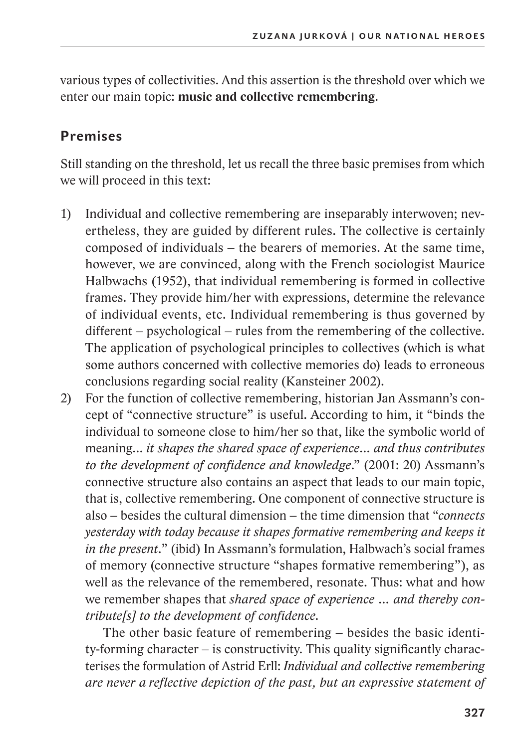various types of collectivities. And this assertion is the threshold over which we enter our main topic: **music and collective remembering**.

# **Premises**

Still standing on the threshold, let us recall the three basic premises from which we will proceed in this text:

- 1) Individual and collective remembering are inseparably interwoven; nevertheless, they are guided by different rules. The collective is certainly composed of individuals – the bearers of memories. At the same time, however, we are convinced, along with the French sociologist Maurice Halbwachs (1952), that individual remembering is formed in collective frames. They provide him/her with expressions, determine the relevance of individual events, etc. Individual remembering is thus governed by different – psychological – rules from the remembering of the collective. The application of psychological principles to collectives (which is what some authors concerned with collective memories do) leads to erroneous conclusions regarding social reality (Kansteiner 2002).
- 2) For the function of collective remembering, historian Jan Assmann's concept of "connective structure" is useful. According to him, it "binds the individual to someone close to him/her so that, like the symbolic world of meaning… *it shapes the shared space of experience… and thus contributes to the development of confidence and knowledge*." (2001: 20) Assmann's connective structure also contains an aspect that leads to our main topic, that is, collective remembering. One component of connective structure is also – besides the cultural dimension – the time dimension that "*connects yesterday with today because it shapes formative remembering and keeps it in the present.*" (ibid) In Assmann's formulation, Halbwach's social frames of memory (connective structure "shapes formative remembering"), as well as the relevance of the remembered, resonate. Thus: what and how we remember shapes that *shared space of experience … and thereby contribute[s] to the development of confidence.*

The other basic feature of remembering – besides the basic identity-forming character – is constructivity. This quality significantly characterises the formulation of Astrid Erll: *Individual and collective remembering are never a reflective depiction of the past, but an expressive statement of*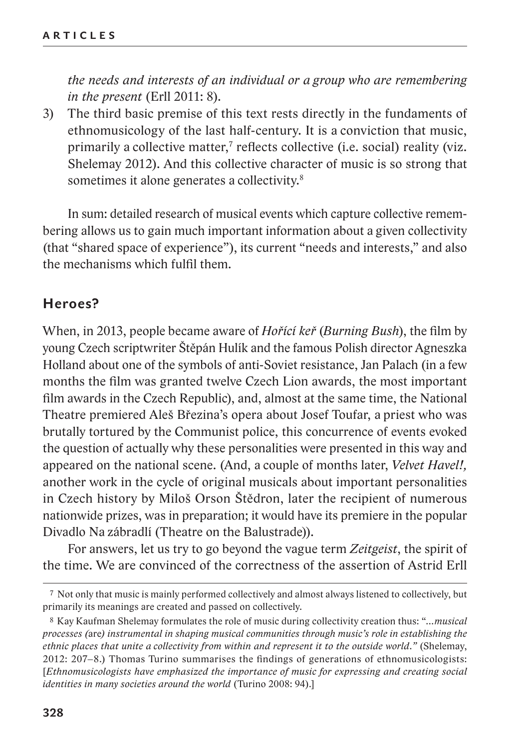*the needs and interests of an individual or a group who are remembering in the present* (Erll 2011: 8)*.*

3) The third basic premise of this text rests directly in the fundaments of ethnomusicology of the last half-century. It is a conviction that music, primarily a collective matter,<sup>7</sup> reflects collective (i.e. social) reality (viz. Shelemay 2012). And this collective character of music is so strong that sometimes it alone generates a collectivity.<sup>8</sup>

In sum: detailed research of musical events which capture collective remembering allows us to gain much important information about a given collectivity (that "shared space of experience"), its current "needs and interests," and also the mechanisms which fulfil them.

### **Heroes?**

When, in 2013, people became aware of *Hořící keř* (*Burning Bush*), the film by young Czech scriptwriter Štěpán Hulík and the famous Polish director Agneszka Holland about one of the symbols of anti-Soviet resistance, Jan Palach (in a few months the film was granted twelve Czech Lion awards, the most important film awards in the Czech Republic), and, almost at the same time, the National Theatre premiered Aleš Březina's opera about Josef Toufar, a priest who was brutally tortured by the Communist police, this concurrence of events evoked the question of actually why these personalities were presented in this way and appeared on the national scene. (And, a couple of months later, *Velvet Havel!,* another work in the cycle of original musicals about important personalities in Czech history by Miloš Orson Štědron, later the recipient of numerous nationwide prizes, was in preparation; it would have its premiere in the popular Divadlo Na zábradlí (Theatre on the Balustrade)).

For answers, let us try to go beyond the vague term *Zeitgeist*, the spirit of the time. We are convinced of the correctness of the assertion of Astrid Erll

<sup>7</sup> Not only that music is mainly performed collectively and almost always listened to collectively, but primarily its meanings are created and passed on collectively.

<sup>8</sup> Kay Kaufman Shelemay formulates the role of music during collectivity creation thus: "*…musical processes (*are*) instrumental in shaping musical communities through music's role in establishing the ethnic places that unite a collectivity from within and represent it to the outside world."* (Shelemay, 2012: 207–8.) Thomas Turino summarises the findings of generations of ethnomusicologists: [*Ethnomusicologists have emphasized the importance of music for expressing and creating social identities in many societies around the world* (Turino 2008: 94).]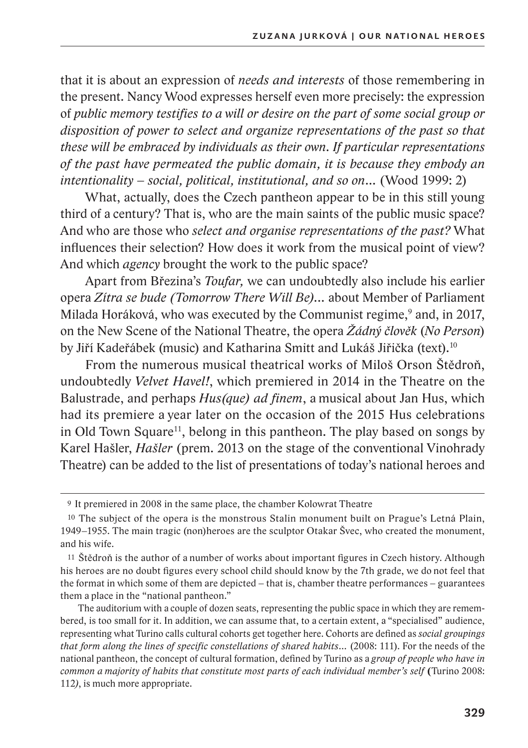that it is about an expression of *needs and interests* of those remembering in the present. Nancy Wood expresses herself even more precisely: the expression of *public memory testifies to a will or desire on the part of some social group or disposition of power to select and organize representations of the past so that these will be embraced by individuals as their own. If particular representations of the past have permeated the public domain, it is because they embody an intentionality – social, political, institutional, and so on…* (Wood 1999: 2)

What, actually, does the Czech pantheon appear to be in this still young third of a century? That is, who are the main saints of the public music space? And who are those who *select and organise representations of the past?* What influences their selection? How does it work from the musical point of view? And which *agency* brought the work to the public space?

Apart from Březina's *Toufar,* we can undoubtedly also include his earlier opera *Zítra se bude (Tomorrow There Will Be)...* about Member of Parliament Milada Horáková, who was executed by the Communist regime,<sup>9</sup> and, in 2017, on the New Scene of the National Theatre, the opera *Žádný člověk* (*No Person*) by Jiří Kadeřábek (music) and Katharina Smitt and Lukáš Jiřička (text).10

From the numerous musical theatrical works of Miloš Orson Štědroň, undoubtedly *Velvet Havel!*, which premiered in 2014 in the Theatre on the Balustrade, and perhaps *Hus(que) ad finem*, a musical about Jan Hus, which had its premiere a year later on the occasion of the 2015 Hus celebrations in Old Town Square<sup>11</sup>, belong in this pantheon. The play based on songs by Karel Hašler, *Hašler* (prem. 2013 on the stage of the conventional Vinohrady Theatre) can be added to the list of presentations of today's national heroes and

<sup>9</sup> It premiered in 2008 in the same place, the chamber Kolowrat Theatre

<sup>10</sup> The subject of the opera is the monstrous Stalin monument built on Prague's Letná Plain, 1949–1955. The main tragic (non)heroes are the sculptor Otakar Švec, who created the monument, and his wife.

<sup>11</sup> Štědroň is the author of a number of works about important figures in Czech history. Although his heroes are no doubt figures every school child should know by the 7th grade, we do not feel that the format in which some of them are depicted – that is, chamber theatre performances – guarantees them a place in the "national pantheon."

The auditorium with a couple of dozen seats, representing the public space in which they are remembered, is too small for it. In addition, we can assume that, to a certain extent, a "specialised" audience, representing what Turino calls cultural cohorts get together here. Cohorts are defined as *social groupings that form along the lines of specific constellations of shared habits...* (2008: 111). For the needs of the national pantheon, the concept of cultural formation, defined by Turino as a *group of people who have in common a majority of habits that constitute most parts of each individual member's self* **(**Turino 2008: 112*)*, is much more appropriate.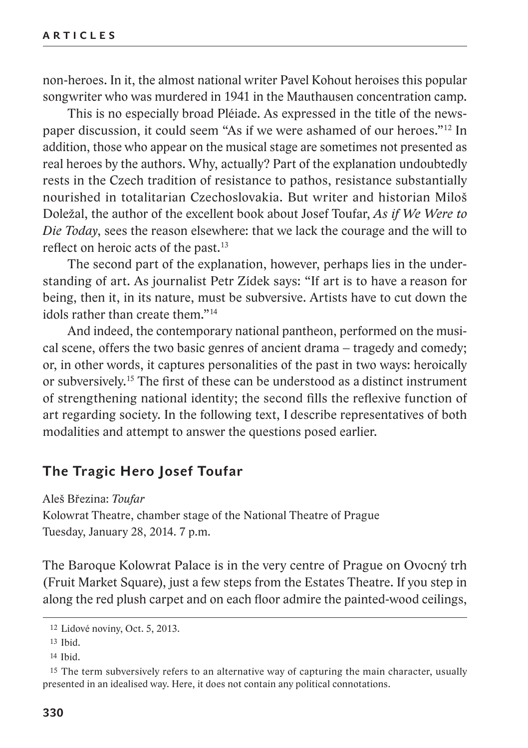non-heroes. In it, the almost national writer Pavel Kohout heroises this popular songwriter who was murdered in 1941 in the Mauthausen concentration camp.

This is no especially broad Pléiade. As expressed in the title of the newspaper discussion, it could seem "As if we were ashamed of our heroes."12 In addition, those who appear on the musical stage are sometimes not presented as real heroes by the authors. Why, actually? Part of the explanation undoubtedly rests in the Czech tradition of resistance to pathos, resistance substantially nourished in totalitarian Czechoslovakia. But writer and historian Miloš Doležal, the author of the excellent book about Josef Toufar, *As if We Were to Die Today*, sees the reason elsewhere: that we lack the courage and the will to reflect on heroic acts of the past.13

The second part of the explanation, however, perhaps lies in the understanding of art. As journalist Petr Zídek says: "If art is to have a reason for being, then it, in its nature, must be subversive. Artists have to cut down the idols rather than create them."14

And indeed, the contemporary national pantheon, performed on the musical scene, offers the two basic genres of ancient drama – tragedy and comedy; or, in other words, it captures personalities of the past in two ways: heroically or subversively.15 The first of these can be understood as a distinct instrument of strengthening national identity; the second fills the reflexive function of art regarding society. In the following text, I describe representatives of both modalities and attempt to answer the questions posed earlier.

## **The Tragic Hero Josef Toufar**

Aleš Březina: *Toufar* Kolowrat Theatre, chamber stage of the National Theatre of Prague Tuesday, January 28, 2014. 7 p.m.

The Baroque Kolowrat Palace is in the very centre of Prague on Ovocný trh (Fruit Market Square), just a few steps from the Estates Theatre. If you step in along the red plush carpet and on each floor admire the painted-wood ceilings,

<sup>12</sup> Lidové noviny, Oct. 5, 2013.

<sup>13</sup> Ibid.

<sup>14</sup> Ibid.

<sup>15</sup> The term subversively refers to an alternative way of capturing the main character, usually presented in an idealised way. Here, it does not contain any political connotations.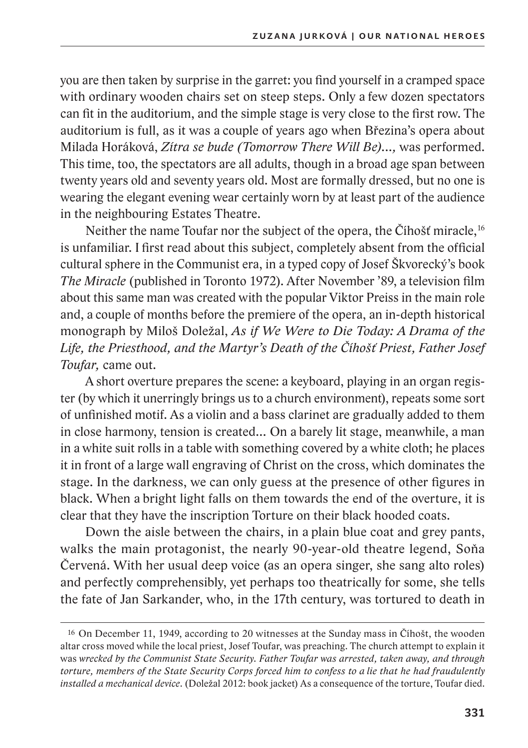you are then taken by surprise in the garret: you find yourself in a cramped space with ordinary wooden chairs set on steep steps. Only a few dozen spectators can fit in the auditorium, and the simple stage is very close to the first row. The auditorium is full, as it was a couple of years ago when Březina's opera about Milada Horáková, *Zítra se bude (Tomorrow There Will Be)...,* was performed. This time, too, the spectators are all adults, though in a broad age span between twenty years old and seventy years old. Most are formally dressed, but no one is wearing the elegant evening wear certainly worn by at least part of the audience in the neighbouring Estates Theatre.

Neither the name Toufar nor the subject of the opera, the Číhošť miracle,<sup>16</sup> is unfamiliar. I first read about this subject, completely absent from the official cultural sphere in the Communist era, in a typed copy of Josef Škvorecký's book *The Miracle* (published in Toronto 1972). After November '89, a television film about this same man was created with the popular Viktor Preiss in the main role and, a couple of months before the premiere of the opera, an in-depth historical monograph by Miloš Doležal, *As if We Were to Die Today: A Drama of the Life, the Priesthood, and the Martyr's Death of the Číhošť Priest, Father Josef Toufar,* came out.

A short overture prepares the scene: a keyboard, playing in an organ register (by which it unerringly brings us to a church environment), repeats some sort of unfinished motif. As a violin and a bass clarinet are gradually added to them in close harmony, tension is created… On a barely lit stage, meanwhile, a man in a white suit rolls in a table with something covered by a white cloth; he places it in front of a large wall engraving of Christ on the cross, which dominates the stage. In the darkness, we can only guess at the presence of other figures in black. When a bright light falls on them towards the end of the overture, it is clear that they have the inscription Torture on their black hooded coats.

Down the aisle between the chairs, in a plain blue coat and grey pants, walks the main protagonist, the nearly 90-year-old theatre legend, Soňa Červená. With her usual deep voice (as an opera singer, she sang alto roles) and perfectly comprehensibly, yet perhaps too theatrically for some, she tells the fate of Jan Sarkander, who, in the 17th century, was tortured to death in

<sup>16</sup> On December 11, 1949, according to 20 witnesses at the Sunday mass in Číhošt, the wooden altar cross moved while the local priest, Josef Toufar, was preaching. The church attempt to explain it was *wrecked by the Communist State Security. Father Toufar was arrested, taken away, and through torture, members of the State Security Corps forced him to confess to a lie that he had fraudulently installed a mechanical device*. (Doležal 2012: book jacket) As a consequence of the torture, Toufar died.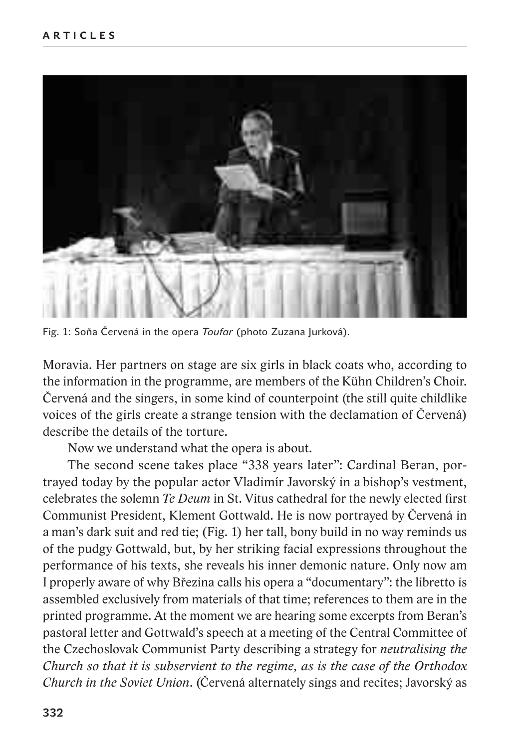

Fig. 1: Soňa Červená in the opera *Toufar* (photo Zuzana Jurková).

Moravia. Her partners on stage are six girls in black coats who, according to the information in the programme, are members of the Kühn Children's Choir. Červená and the singers, in some kind of counterpoint (the still quite childlike voices of the girls create a strange tension with the declamation of Červená) describe the details of the torture.

Now we understand what the opera is about.

The second scene takes place "338 years later": Cardinal Beran, portrayed today by the popular actor Vladimír Javorský in a bishop's vestment, celebrates the solemn *Te Deum* in St. Vitus cathedral for the newly elected first Communist President, Klement Gottwald. He is now portrayed by Červená in a man's dark suit and red tie; (Fig. 1) her tall, bony build in no way reminds us of the pudgy Gottwald, but, by her striking facial expressions throughout the performance of his texts, she reveals his inner demonic nature. Only now am I properly aware of why Březina calls his opera a "documentary": the libretto is assembled exclusively from materials of that time; references to them are in the printed programme. At the moment we are hearing some excerpts from Beran's pastoral letter and Gottwald's speech at a meeting of the Central Committee of the Czechoslovak Communist Party describing a strategy for *neutralising the Church so that it is subservient to the regime, as is the case of the Orthodox Church in the Soviet Union*. (Červená alternately sings and recites; Javorský as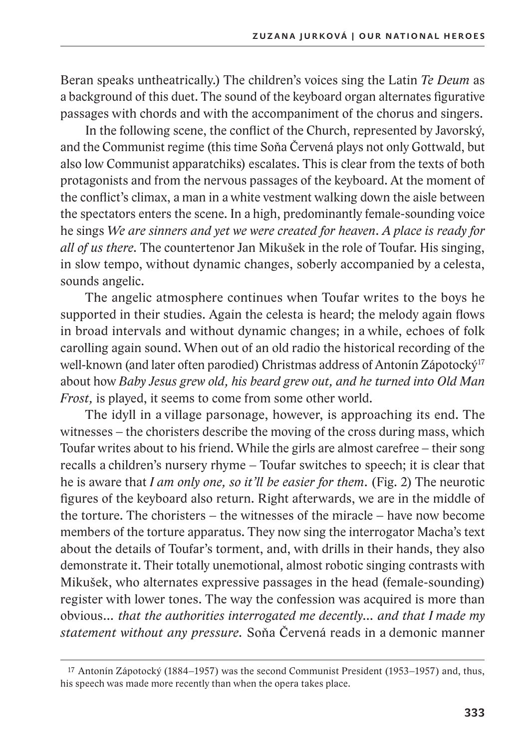Beran speaks untheatrically.) The children's voices sing the Latin *Te Deum* as a background of this duet. The sound of the keyboard organ alternates figurative passages with chords and with the accompaniment of the chorus and singers.

In the following scene, the conflict of the Church, represented by Javorský, and the Communist regime (this time Soňa Červená plays not only Gottwald, but also low Communist apparatchiks) escalates. This is clear from the texts of both protagonists and from the nervous passages of the keyboard. At the moment of the conflict's climax, a man in a white vestment walking down the aisle between the spectators enters the scene. In a high, predominantly female-sounding voice he sings *We are sinners and yet we were created for heaven. A place is ready for all of us there.* The countertenor Jan Mikušek in the role of Toufar. His singing, in slow tempo, without dynamic changes, soberly accompanied by a celesta, sounds angelic.

The angelic atmosphere continues when Toufar writes to the boys he supported in their studies. Again the celesta is heard; the melody again flows in broad intervals and without dynamic changes; in a while, echoes of folk carolling again sound. When out of an old radio the historical recording of the well-known (and later often parodied) Christmas address of Antonín Zápotocký<sup>17</sup> about how *Baby Jesus grew old, his beard grew out, and he turned into Old Man Frost,* is played, it seems to come from some other world.

The idyll in a village parsonage, however, is approaching its end. The witnesses – the choristers describe the moving of the cross during mass, which Toufar writes about to his friend. While the girls are almost carefree – their song recalls a children's nursery rhyme – Toufar switches to speech; it is clear that he is aware that *I am only one, so it'll be easier for them.* (Fig. 2) The neurotic figures of the keyboard also return. Right afterwards, we are in the middle of the torture. The choristers – the witnesses of the miracle – have now become members of the torture apparatus. They now sing the interrogator Macha's text about the details of Toufar's torment, and, with drills in their hands, they also demonstrate it. Their totally unemotional, almost robotic singing contrasts with Mikušek, who alternates expressive passages in the head (female-sounding) register with lower tones. The way the confession was acquired is more than obvious*… that the authorities interrogated me decently… and that I made my statement without any pressure.* Soňa Červená reads in a demonic manner

<sup>17</sup> Antonín Zápotocký (1884–1957) was the second Communist President (1953–1957) and, thus, his speech was made more recently than when the opera takes place.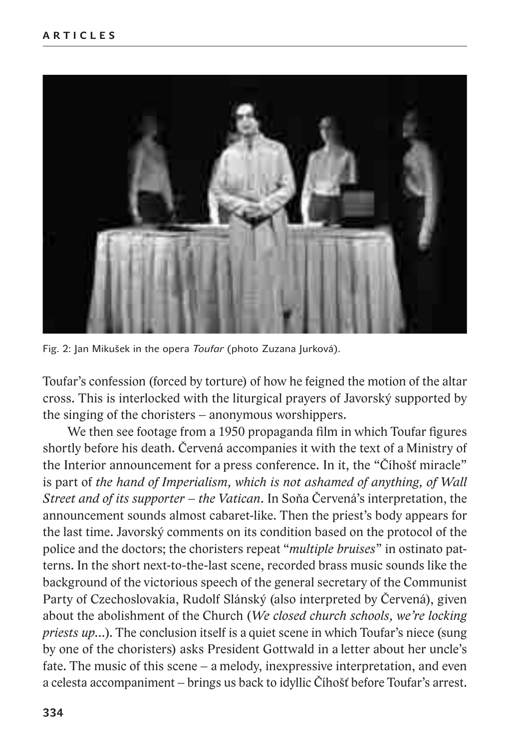

Fig. 2: Jan Mikušek in the opera *Toufar* (photo Zuzana Jurková).

Toufar's confession (forced by torture) of how he feigned the motion of the altar cross. This is interlocked with the liturgical prayers of Javorský supported by the singing of the choristers – anonymous worshippers.

We then see footage from a 1950 propaganda film in which Toufar figures shortly before his death. Červená accompanies it with the text of a Ministry of the Interior announcement for a press conference. In it, the "Číhošť miracle" is part of *the hand of Imperialism, which is not ashamed of anything, of Wall Street and of its supporter – the Vatican.* In Soňa Červená's interpretation, the announcement sounds almost cabaret-like. Then the priest's body appears for the last time. Javorský comments on its condition based on the protocol of the police and the doctors; the choristers repeat "*multiple bruises*" in ostinato patterns. In the short next-to-the-last scene, recorded brass music sounds like the background of the victorious speech of the general secretary of the Communist Party of Czechoslovakia, Rudolf Slánský (also interpreted by Červená), given about the abolishment of the Church (*We closed church schools, we're locking priests up…*). The conclusion itself is a quiet scene in which Toufar's niece (sung by one of the choristers) asks President Gottwald in a letter about her uncle's fate. The music of this scene – a melody, inexpressive interpretation, and even a celesta accompaniment – brings us back to idyllic Číhošť before Toufar's arrest.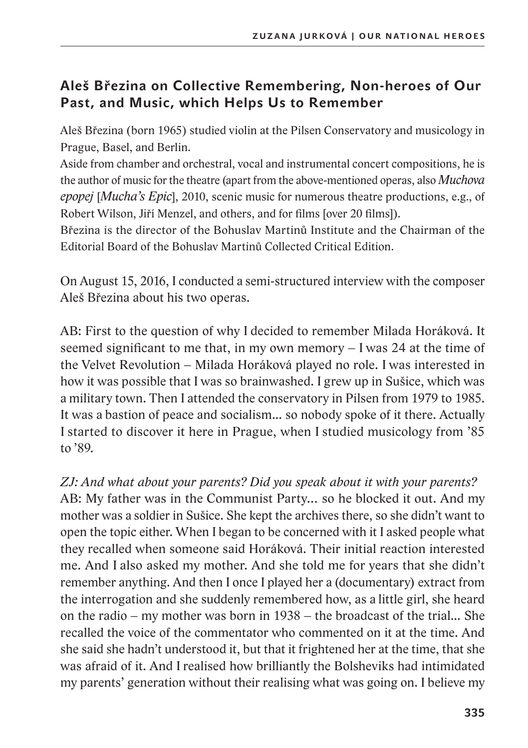# **Aleš Březina on Collective Remembering, Non-heroes of Our Past, and Music, which Helps Us to Remember**

Aleš Březina (born 1965) studied violin at the Pilsen Conservatory and musicology in Prague, Basel, and Berlin.

Aside from chamber and orchestral, vocal and instrumental concert compositions, he is the author of music for the theatre (apart from the above-mentioned operas, also *Muchova epopej* [*Mucha's Epic*], 2010, scenic music for numerous theatre productions, e.g., of Robert Wilson, Jiří Menzel, and others, and for films [over 20 films]).

Březina is the director of the Bohuslav Martinů Institute and the Chairman of the Editorial Board of the Bohuslav Martinů Collected Critical Edition.

On August 15, 2016, I conducted a semi-structured interview with the composer Aleš Březina about his two operas.

AB: First to the question of why I decided to remember Milada Horáková. It seemed significant to me that, in my own memory – I was 24 at the time of the Velvet Revolution – Milada Horáková played no role. I was interested in how it was possible that I was so brainwashed. I grew up in Sušice, which was a military town. Then I attended the conservatory in Pilsen from 1979 to 1985. It was a bastion of peace and socialism... so nobody spoke of it there. Actually I started to discover it here in Prague, when I studied musicology from '85 to '89.

*ZJ: And what about your parents? Did you speak about it with your parents?*

AB: My father was in the Communist Party… so he blocked it out. And my mother was a soldier in Sušice. She kept the archives there, so she didn't want to open the topic either. When I began to be concerned with it I asked people what they recalled when someone said Horáková. Their initial reaction interested me. And I also asked my mother. And she told me for years that she didn't remember anything. And then I once I played her a (documentary) extract from the interrogation and she suddenly remembered how, as a little girl, she heard on the radio – my mother was born in 1938 – the broadcast of the trial... She recalled the voice of the commentator who commented on it at the time. And she said she hadn't understood it, but that it frightened her at the time, that she was afraid of it. And I realised how brilliantly the Bolsheviks had intimidated my parents' generation without their realising what was going on. I believe my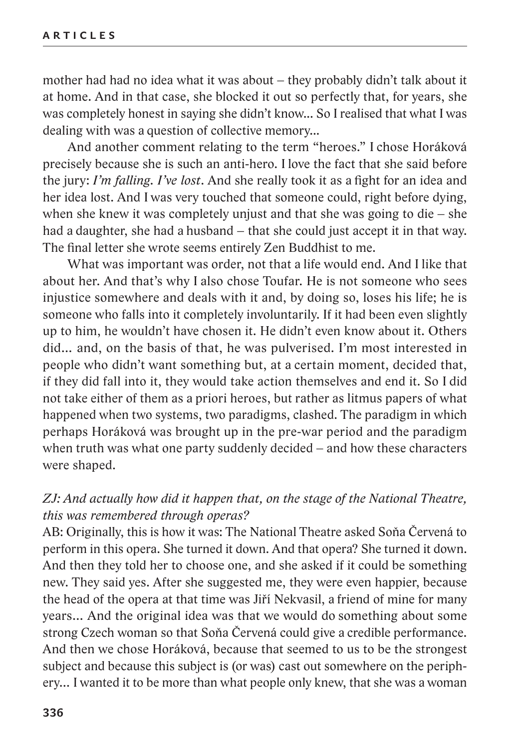mother had had no idea what it was about – they probably didn't talk about it at home. And in that case, she blocked it out so perfectly that, for years, she was completely honest in saying she didn't know... So Irealised that what I was dealing with was a question of collective memory...

And another comment relating to the term "heroes." I chose Horáková precisely because she is such an anti-hero. I love the fact that she said before the jury: *I'm falling. I've lost*. And she really took it as a fight for an idea and her idea lost. And I was very touched that someone could, right before dying, when she knew it was completely unjust and that she was going to die – she had a daughter, she had a husband – that she could just accept it in that way. The final letter she wrote seems entirely Zen Buddhist to me.

What was important was order, not that a life would end. And I like that about her. And that's why I also chose Toufar. He is not someone who sees injustice somewhere and deals with it and, by doing so, loses his life; he is someone who falls into it completely involuntarily. If it had been even slightly up to him, he wouldn't have chosen it. He didn't even know about it. Others did… and, on the basis of that, he was pulverised. I'm most interested in people who didn't want something but, at a certain moment, decided that, if they did fall into it, they would take action themselves and end it. So I did not take either of them as a priori heroes, but rather as litmus papers of what happened when two systems, two paradigms, clashed. The paradigm in which perhaps Horáková was brought up in the pre-war period and the paradigm when truth was what one party suddenly decided – and how these characters were shaped.

### *ZJ: And actually how did it happen that, on the stage of the National Theatre, this was remembered through operas?*

AB: Originally, this is how it was: The National Theatre asked Soňa Červená to perform in this opera. She turned it down. And that opera? She turned it down. And then they told her to choose one, and she asked if it could be something new. They said yes. After she suggested me, they were even happier, because the head of the opera at that time was Jiří Nekvasil, a friend of mine for many years… And the original idea was that we would do something about some strong Czech woman so that Soňa Červená could give a credible performance. And then we chose Horáková, because that seemed to us to be the strongest subject and because this subject is (or was) cast out somewhere on the periphery… I wanted it to be more than what people only knew, that she was a woman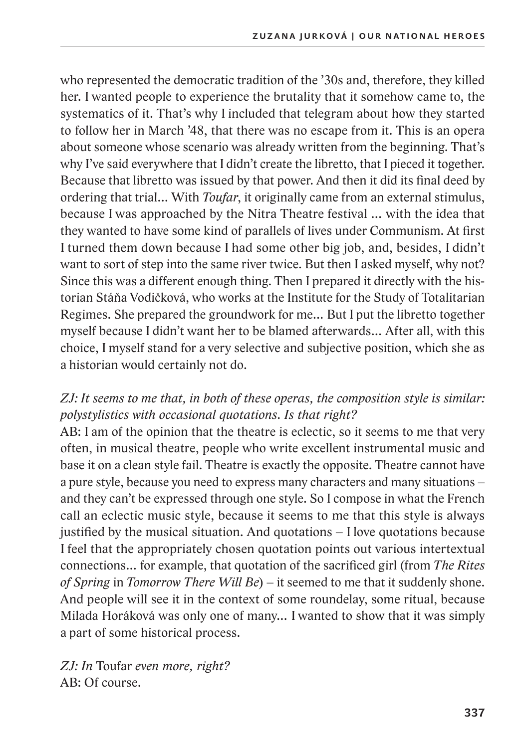who represented the democratic tradition of the '30s and, therefore, they killed her. I wanted people to experience the brutality that it somehow came to, the systematics of it. That's why I included that telegram about how they started to follow her in March '48, that there was no escape from it. This is an opera about someone whose scenario was already written from the beginning. That's why I've said everywhere that I didn't create the libretto, that I pieced it together. Because that libretto was issued by that power. And then it did its final deed by ordering that trial… With *Toufar*, it originally came from an external stimulus, because I was approached by the Nitra Theatre festival … with the idea that they wanted to have some kind of parallels of lives under Communism. At first I turned them down because I had some other big job, and, besides, I didn't want to sort of step into the same river twice. But then I asked myself, why not? Since this was a different enough thing. Then I prepared it directly with the historian Stáňa Vodičková, who works at the Institute for the Study of Totalitarian Regimes. She prepared the groundwork for me… But I put the libretto together myself because I didn't want her to be blamed afterwards… After all, with this choice, I myself stand for a very selective and subjective position, which she as a historian would certainly not do.

# *ZJ: It seems to me that, in both of these operas, the composition style is similar: polystylistics with occasional quotations. Is that right?*

AB: I am of the opinion that the theatre is eclectic, so it seems to me that very often, in musical theatre, people who write excellent instrumental music and base it on a clean style fail. Theatre is exactly the opposite. Theatre cannot have a pure style, because you need to express many characters and many situations – and they can't be expressed through one style. So I compose in what the French call an eclectic music style, because it seems to me that this style is always justified by the musical situation. And quotations – I love quotations because I feel that the appropriately chosen quotation points out various intertextual connections… for example, that quotation of the sacrificed girl (from *The Rites of Spring* in *Tomorrow There Will Be*) – it seemed to me that it suddenly shone. And people will see it in the context of some roundelay, some ritual, because Milada Horáková was only one of many… I wanted to show that it was simply a part of some historical process.

*ZJ: In* Toufar *even more, right?* AB: Of course.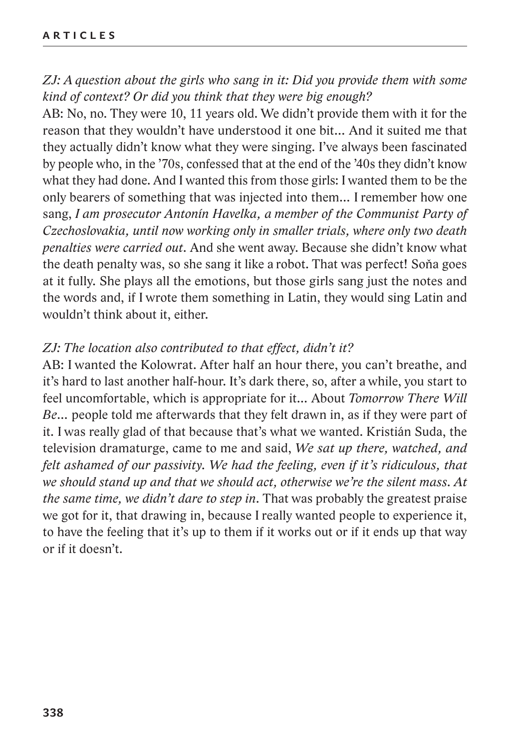*ZJ: A question about the girls who sang in it: Did you provide them with some kind of context? Or did you think that they were big enough?*

AB: No, no. They were 10, 11 years old. We didn't provide them with it for the reason that they wouldn't have understood it one bit… And it suited me that they actually didn't know what they were singing. I've always been fascinated by people who, in the '70s, confessed that at the end of the '40s they didn't know what they had done. And I wanted this from those girls: I wanted them to be the only bearers of something that was injected into them… I remember how one sang, *I am prosecutor Antonín Havelka, a member of the Communist Party of Czechoslovakia, until now working only in smaller trials, where only two death penalties were carried out.* And she went away. Because she didn't know what the death penalty was, so she sang it like a robot. That was perfect! Soňa goes at it fully. She plays all the emotions, but those girls sang just the notes and the words and, if I wrote them something in Latin, they would sing Latin and wouldn't think about it, either.

#### *ZJ: The location also contributed to that effect, didn't it?*

AB: I wanted the Kolowrat. After half an hour there, you can't breathe, and it's hard to last another half-hour. It's dark there, so, after a while, you start to feel uncomfortable, which is appropriate for it… About *Tomorrow There Will Be…* people told me afterwards that they felt drawn in, as if they were part of it. I was really glad of that because that's what we wanted. Kristián Suda, the television dramaturge, came to me and said, *We sat up there, watched, and felt ashamed of our passivity. We had the feeling, even if it's ridiculous, that we should stand up and that we should act, otherwise we're the silent mass. At the same time, we didn't dare to step in.* That was probably the greatest praise we got for it, that drawing in, because I really wanted people to experience it, to have the feeling that it's up to them if it works out or if it ends up that way or if it doesn't.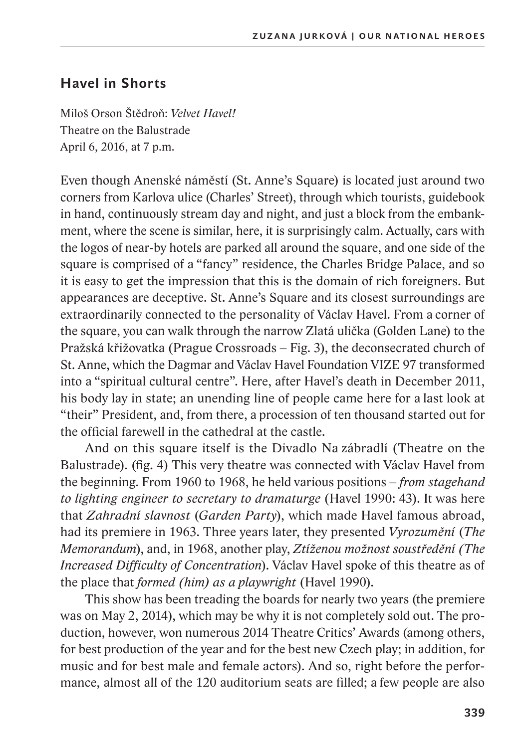# **Havel in Shorts**

Miloš Orson Štědroň: *Velvet Havel!* Theatre on the Balustrade April 6, 2016, at 7 p.m.

Even though Anenské náměstí (St. Anne's Square) is located just around two corners from Karlova ulice (Charles' Street), through which tourists, guidebook in hand, continuously stream day and night, and just a block from the embankment, where the scene is similar, here, it is surprisingly calm. Actually, cars with the logos of near-by hotels are parked all around the square, and one side of the square is comprised of a "fancy" residence, the Charles Bridge Palace, and so it is easy to get the impression that this is the domain of rich foreigners. But appearances are deceptive. St. Anne's Square and its closest surroundings are extraordinarily connected to the personality of Václav Havel. From a corner of the square, you can walk through the narrow Zlatá ulička (Golden Lane) to the Pražská křižovatka (Prague Crossroads – Fig. 3), the deconsecrated church of St. Anne, which the Dagmar and Václav Havel Foundation VIZE 97 transformed into a "spiritual cultural centre". Here, after Havel's death in December 2011, his body lay in state; an unending line of people came here for a last look at "their" President, and, from there, a procession of ten thousand started out for the official farewell in the cathedral at the castle.

And on this square itself is the Divadlo Na zábradlí (Theatre on the Balustrade). (fig. 4) This very theatre was connected with Václav Havel from the beginning. From 1960 to 1968, he held various positions – *from stagehand to lighting engineer to secretary to dramaturge* (Havel 1990: 43). It was here that *Zahradní slavnost* (*Garden Party*), which made Havel famous abroad, had its premiere in 1963. Three years later, they presented *Vyrozumění* (*The Memorandum*), and, in 1968, another play, *Ztíženou možnost soustředění (The Increased Difficulty of Concentration*). Václav Havel spoke of this theatre as of the place that *formed (him) as a playwright* (Havel 1990)*.*

This show has been treading the boards for nearly two years (the premiere was on May 2, 2014), which may be why it is not completely sold out. The production, however, won numerous 2014 Theatre Critics' Awards (among others, for best production of the year and for the best new Czech play; in addition, for music and for best male and female actors). And so, right before the performance, almost all of the 120 auditorium seats are filled; a few people are also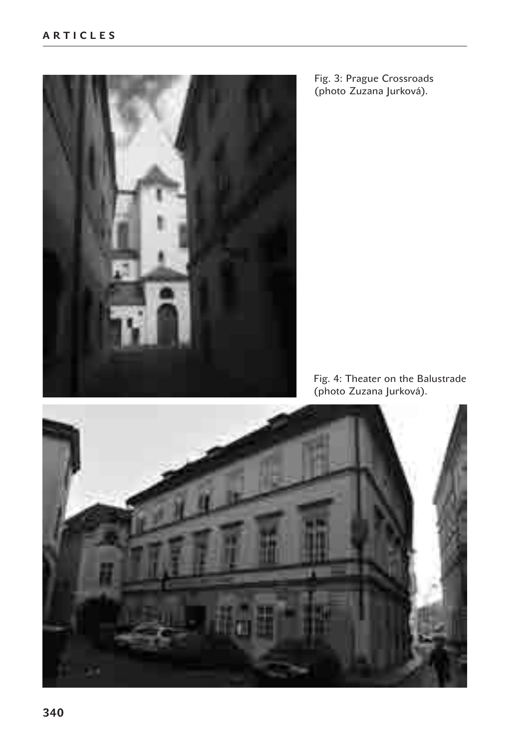

Fig. 3: Prague Crossroads (photo Zuzana Jurková).

Fig. 4: Theater on the Balustrade (photo Zuzana Jurková).

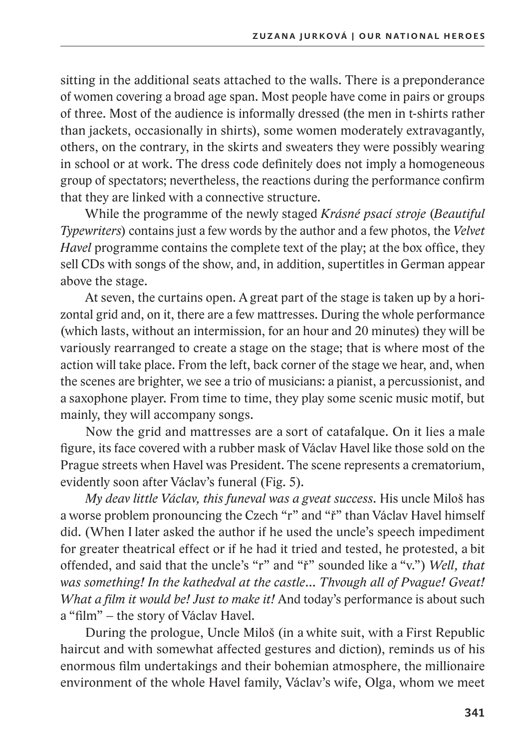sitting in the additional seats attached to the walls. There is a preponderance of women covering a broad age span. Most people have come in pairs or groups of three. Most of the audience is informally dressed (the men in t-shirts rather than jackets, occasionally in shirts), some women moderately extravagantly, others, on the contrary, in the skirts and sweaters they were possibly wearing in school or at work. The dress code definitely does not imply a homogeneous group of spectators; nevertheless, the reactions during the performance confirm that they are linked with a connective structure.

While the programme of the newly staged *Krásné psací stroje* (*Beautiful Typewriters*) contains just a few words by the author and a few photos, the *Velvet Havel* programme contains the complete text of the play; at the box office, they sell CDs with songs of the show, and, in addition, supertitles in German appear above the stage.

At seven, the curtains open. A great part of the stage is taken up by a horizontal grid and, on it, there are a few mattresses. During the whole performance (which lasts, without an intermission, for an hour and 20 minutes) they will be variously rearranged to create a stage on the stage; that is where most of the action will take place. From the left, back corner of the stage we hear, and, when the scenes are brighter, we see a trio of musicians: a pianist, a percussionist, and a saxophone player. From time to time, they play some scenic music motif, but mainly, they will accompany songs.

Now the grid and mattresses are a sort of catafalque. On it lies a male figure, its face covered with a rubber mask of Václav Havel like those sold on the Prague streets when Havel was President. The scene represents a crematorium, evidently soon after Václav's funeral (Fig. 5).

*My deav little Václav, this funeval was a gveat success.* His uncle Miloš has a worse problem pronouncing the Czech "r" and "ř" than Václav Havel himself did. (When I later asked the author if he used the uncle's speech impediment for greater theatrical effect or if he had it tried and tested, he protested, a bit offended, and said that the uncle's "r" and "ř" sounded like a "v.") *Well, that was something! In the kathedval at the castle… Thvough all of Pvague! Gveat! What a film it would be! Just to make it!* And today's performance is about such a "film" – the story of Václav Havel.

During the prologue, Uncle Miloš (in a white suit, with a First Republic haircut and with somewhat affected gestures and diction), reminds us of his enormous film undertakings and their bohemian atmosphere, the millionaire environment of the whole Havel family, Václav's wife, Olga, whom we meet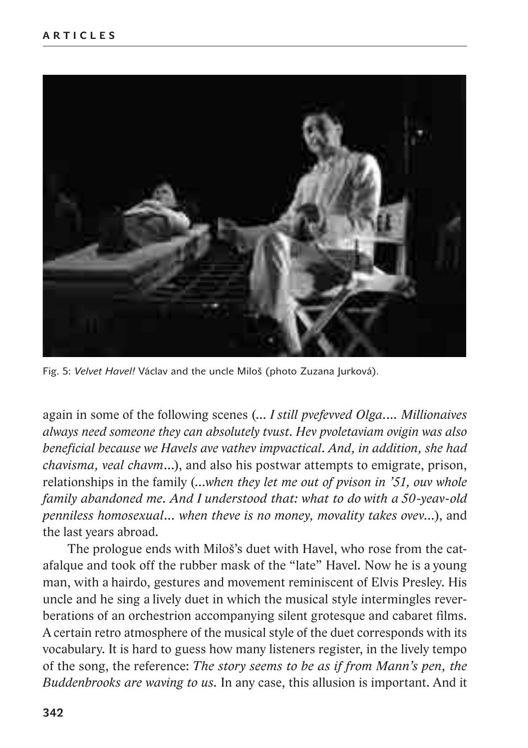

Fig. 5: *Velvet Havel!* Václav and the uncle Miloš (photo Zuzana Jurková).

again in some of the following scenes (… *I still pvefevved Olga.… Millionaives always need someone they can absolutely tvust. Hev pvoletaviam ovigin was also beneficial because we Havels ave vathev impvactical. And, in addition, she had chavisma, veal chavm*…), and also his postwar attempts to emigrate, prison, relationships in the family (…*when they let me out of pvison in '51, ouv whole family abandoned me. And I understood that: what to do with a 50-yeav-old penniless homosexual… when theve is no money, movality takes ovev…*), and the last years abroad.

The prologue ends with Miloš's duet with Havel, who rose from the catafalque and took off the rubber mask of the "late" Havel. Now he is a young man, with a hairdo, gestures and movement reminiscent of Elvis Presley. His uncle and he sing a lively duet in which the musical style intermingles reverberations of an orchestrion accompanying silent grotesque and cabaret films. A certain retro atmosphere of the musical style of the duet corresponds with its vocabulary. It is hard to guess how many listeners register, in the lively tempo of the song, the reference: *The story seems to be as if from Mann's pen, the Buddenbrooks are waving to us.* In any case, this allusion is important. And it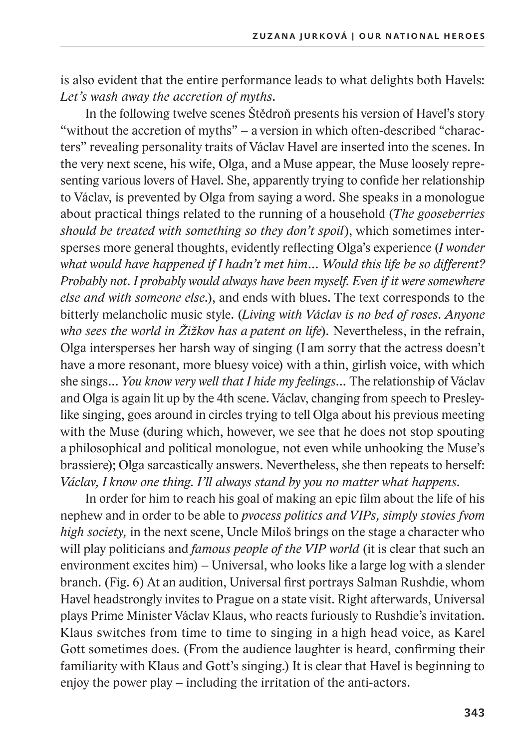is also evident that the entire performance leads to what delights both Havels: *Let's wash away the accretion of myths.*

In the following twelve scenes Štědroň presents his version of Havel's story "without the accretion of myths" – a version in which often-described "characters" revealing personality traits of Václav Havel are inserted into the scenes. In the very next scene, his wife, Olga, and a Muse appear, the Muse loosely representing various lovers of Havel. She, apparently trying to confide her relationship to Václav, is prevented by Olga from saying a word. She speaks in a monologue about practical things related to the running of a household (*The gooseberries should be treated with something so they don't spoil*), which sometimes intersperses more general thoughts, evidently reflecting Olga's experience (*I wonder what would have happened if I hadn't met him… Would this life be so different? Probably not. I probably would always have been myself. Even if it were somewhere else and with someone else.*), and ends with blues. The text corresponds to the bitterly melancholic music style. (*Living with Václav is no bed of roses. Anyone who sees the world in Žižkov has a patent on life*)*.* Nevertheless, in the refrain, Olga intersperses her harsh way of singing (I am sorry that the actress doesn't have a more resonant, more bluesy voice) with a thin, girlish voice, with which she sings… *You know very well that I hide my feelings…* The relationship of Václav and Olga is again lit up by the 4th scene. Václav, changing from speech to Presleylike singing, goes around in circles trying to tell Olga about his previous meeting with the Muse (during which, however, we see that he does not stop spouting a philosophical and political monologue, not even while unhooking the Muse's brassiere); Olga sarcastically answers. Nevertheless, she then repeats to herself: *Václav, I know one thing. I'll always stand by you no matter what happens.*

In order for him to reach his goal of making an epic film about the life of his nephew and in order to be able to *pvocess politics and VIPs, simply stovies fvom high society,* in the next scene, Uncle Miloš brings on the stage a character who will play politicians and *famous people of the VIP world* (it is clear that such an environment excites him) – Universal, who looks like a large log with a slender branch. (Fig. 6) At an audition, Universal first portrays Salman Rushdie, whom Havel headstrongly invites to Prague on a state visit. Right afterwards, Universal plays Prime Minister Václav Klaus, who reacts furiously to Rushdie's invitation. Klaus switches from time to time to singing in a high head voice, as Karel Gott sometimes does. (From the audience laughter is heard, confirming their familiarity with Klaus and Gott's singing.) It is clear that Havel is beginning to enjoy the power play – including the irritation of the anti-actors.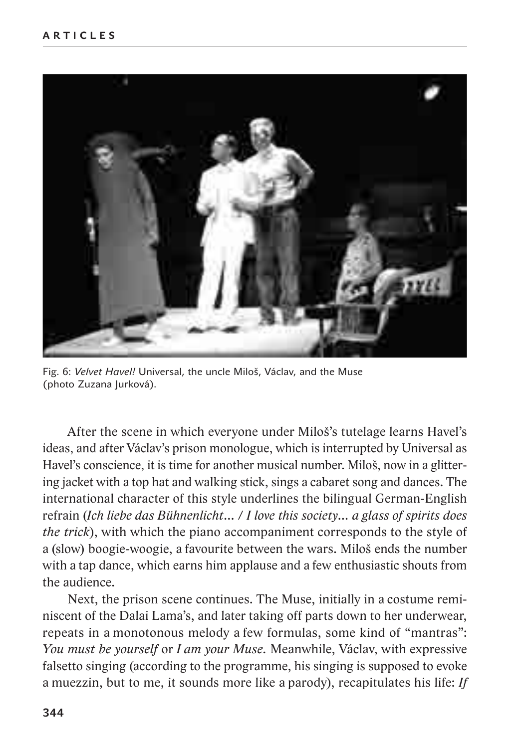

Fig. 6: *Velvet Havel!* Universal, the uncle Miloš, Václav, and the Muse (photo Zuzana Jurková).

After the scene in which everyone under Miloš's tutelage learns Havel's ideas, and after Václav's prison monologue, which is interrupted by Universal as Havel's conscience, it is time for another musical number. Miloš, now in a glittering jacket with a top hat and walking stick, sings a cabaret song and dances. The international character of this style underlines the bilingual German-English refrain (*Ich liebe das Bühnenlicht…* / *I love this society… a glass of spirits does the trick*), with which the piano accompaniment corresponds to the style of a (slow) boogie-woogie, a favourite between the wars. Miloš ends the number with a tap dance, which earns him applause and a few enthusiastic shouts from the audience.

Next, the prison scene continues. The Muse, initially in a costume reminiscent of the Dalai Lama's, and later taking off parts down to her underwear, repeats in a monotonous melody a few formulas, some kind of "mantras": *You must be yourself* or *I am your Muse.* Meanwhile, Václav, with expressive falsetto singing (according to the programme, his singing is supposed to evoke a muezzin, but to me, it sounds more like a parody), recapitulates his life: *If*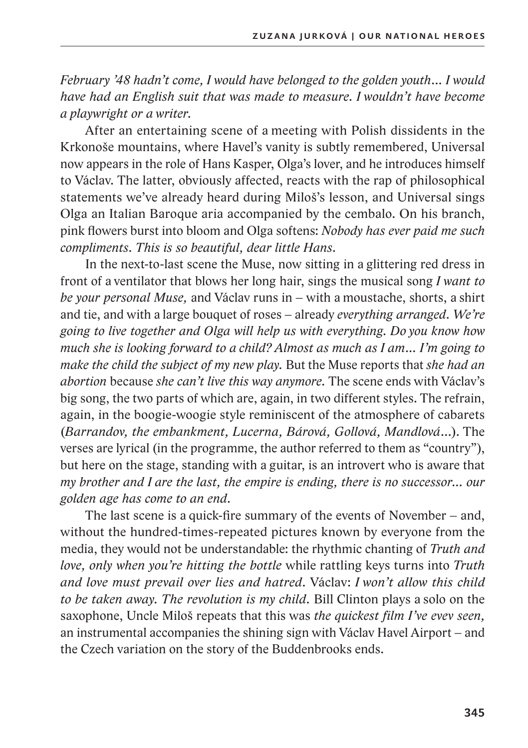*February '48 hadn't come, I would have belonged to the golden youth… I would have had an English suit that was made to measure. I wouldn't have become a playwright or a writer*.

After an entertaining scene of a meeting with Polish dissidents in the Krkonoše mountains, where Havel's vanity is subtly remembered, Universal now appears in the role of Hans Kasper, Olga's lover, and he introduces himself to Václav. The latter, obviously affected, reacts with the rap of philosophical statements we've already heard during Miloš's lesson, and Universal sings Olga an Italian Baroque aria accompanied by the cembalo. On his branch, pink flowers burst into bloom and Olga softens: *Nobody has ever paid me such compliments. This is so beautiful, dear little Hans.*

In the next-to-last scene the Muse, now sitting in a glittering red dress in front of a ventilator that blows her long hair, sings the musical song *I want to be your personal Muse,* and Václav runs in – with a moustache, shorts, a shirt and tie, and with a large bouquet of roses – already *everything arranged. We're going to live together and Olga will help us with everything. Do you know how much she is looking forward to a child? Almost as much as I am… I'm going to make the child the subject of my new play.* But the Muse reports that *she had an abortion* because *she can't live this way anymore.* The scene ends with Václav's big song, the two parts of which are, again, in two different styles. The refrain, again, in the boogie-woogie style reminiscent of the atmosphere of cabarets (*Barrandov, the embankment, Lucerna, Bárová, Gollová, Mandlová…*). The verses are lyrical (in the programme, the author referred to them as "country"), but here on the stage, standing with a guitar, is an introvert who is aware that *my brother and I are the last, the empire is ending, there is no successor… our golden age has come to an end.*

The last scene is a quick-fire summary of the events of November – and, without the hundred-times-repeated pictures known by everyone from the media, they would not be understandable: the rhythmic chanting of *Truth and love, only when you're hitting the bottle* while rattling keys turns into *Truth and love must prevail over lies and hatred.* Václav: *I won't allow this child to be taken away. The revolution is my child.* Bill Clinton plays a solo on the saxophone, Uncle Miloš repeats that this was *the quickest film I've evev seen,*  an instrumental accompanies the shining sign with Václav Havel Airport – and the Czech variation on the story of the Buddenbrooks ends.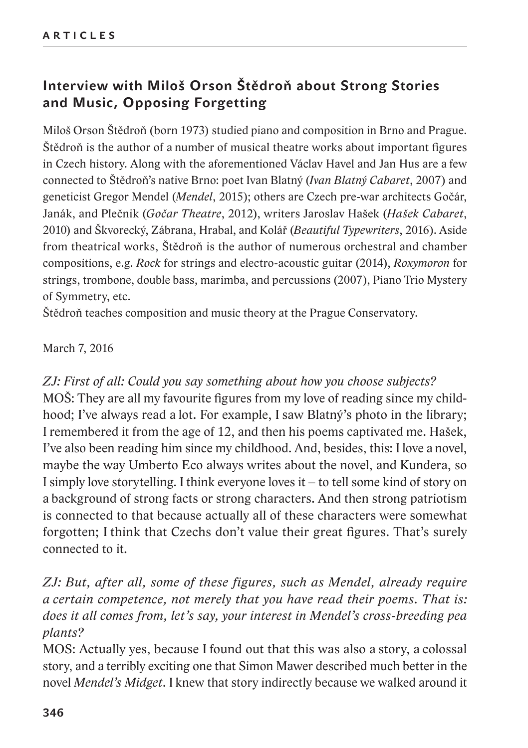# **Interview with Miloš Orson Štědroň about Strong Stories and Music, Opposing Forgetting**

Miloš Orson Štědroň (born 1973) studied piano and composition in Brno and Prague. Štědroň is the author of a number of musical theatre works about important figures in Czech history. Along with the aforementioned Václav Havel and Jan Hus are a few connected to Štědroň's native Brno: poet Ivan Blatný (*Ivan Blatný Cabaret*, 2007) and geneticist Gregor Mendel (*Mendel*, 2015); others are Czech pre-war architects Gočár, Janák, and Plečnik (*Gočar Theatre*, 2012), writers Jaroslav Hašek (*Hašek Cabaret*, 2010) and Škvorecký, Zábrana, Hrabal, and Kolář (*Beautiful Typewriters*, 2016). Aside from theatrical works, Štědroň is the author of numerous orchestral and chamber compositions, e.g. *Rock* for strings and electro-acoustic guitar (2014), *Roxymoron* for strings, trombone, double bass, marimba, and percussions (2007), Piano Trio Mystery of Symmetry, etc.

Štědroň teaches composition and music theory at the Prague Conservatory.

#### March 7, 2016

*ZJ: First of all: Could you say something about how you choose subjects?* MOŠ: They are all my favourite figures from my love of reading since my childhood; I've always read a lot. For example, I saw Blatný's photo in the library; I remembered it from the age of 12, and then his poems captivated me. Hašek, I've also been reading him since my childhood. And, besides, this: I love a novel, maybe the way Umberto Eco always writes about the novel, and Kundera, so I simply love storytelling. I think everyone loves it – to tell some kind of story on a background of strong facts or strong characters. And then strong patriotism is connected to that because actually all of these characters were somewhat forgotten; I think that Czechs don't value their great figures. That's surely connected to it.

# *ZJ: But, after all, some of these figures, such as Mendel, already require a certain competence, not merely that you have read their poems. That is: does it all comes from, let's say, your interest in Mendel's cross-breeding pea plants?*

MOS: Actually yes, because I found out that this was also a story, a colossal story, and a terribly exciting one that Simon Mawer described much better in the novel *Mendel's Midget*. I knew that story indirectly because we walked around it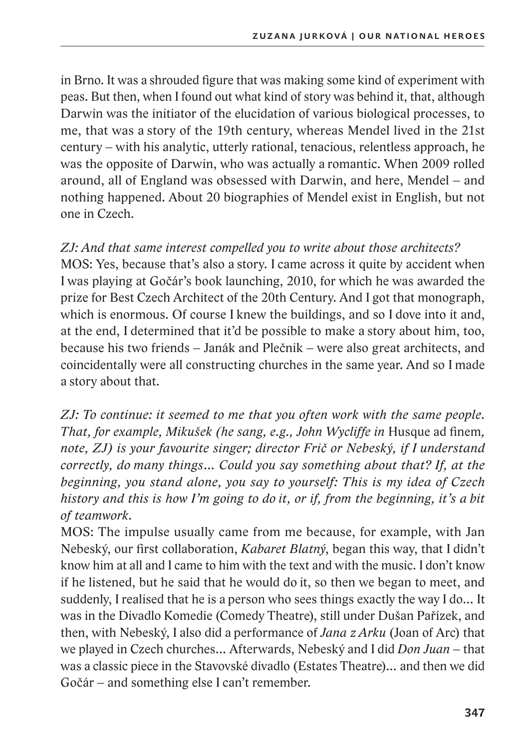in Brno. It was a shrouded figure that was making some kind of experiment with peas. But then, when I found out what kind of story was behind it, that, although Darwin was the initiator of the elucidation of various biological processes, to me, that was a story of the 19th century, whereas Mendel lived in the 21st century – with his analytic, utterly rational, tenacious, relentless approach, he was the opposite of Darwin, who was actually a romantic. When 2009 rolled around, all of England was obsessed with Darwin, and here, Mendel – and nothing happened. About 20 biographies of Mendel exist in English, but not one in Czech.

### *ZJ: And that same interest compelled you to write about those architects?*

MOS: Yes, because that's also a story. I came across it quite by accident when I was playing at Gočár's book launching, 2010, for which he was awarded the prize for Best Czech Architect of the 20th Century. And I got that monograph, which is enormous. Of course I knew the buildings, and so I dove into it and, at the end, I determined that it'd be possible to make a story about him, too, because his two friends – Janák and Plečnik – were also great architects, and coincidentally were all constructing churches in the same year. And so I made a story about that.

*ZJ: To continue: it seemed to me that you often work with the same people. That, for example, Mikušek (he sang, e.g., John Wycliffe in Husque ad finem, note, ZJ) is your favourite singer; director Frič or Nebeský, if I understand correctly, do many things… Could you say something about that? If, at the beginning, you stand alone, you say to yourself: This is my idea of Czech history and this is how I'm going to do it, or if, from the beginning, it's a bit of teamwork.*

MOS: The impulse usually came from me because, for example, with Jan Nebeský, our first collaboration, *Kabaret Blatný*, began this way, that I didn't know him at all and I came to him with the text and with the music. I don't know if he listened, but he said that he would do it, so then we began to meet, and suddenly, I realised that he is a person who sees things exactly the way I do… It was in the Divadlo Komedie (Comedy Theatre), still under Dušan Pařízek, and then, with Nebeský, I also did a performance of *Jana z Arku* (Joan of Arc) that we played in Czech churches… Afterwards, Nebeský and I did *Don Juan* – that was a classic piece in the Stavovské divadlo (Estates Theatre)… and then we did Gočár – and something else I can't remember.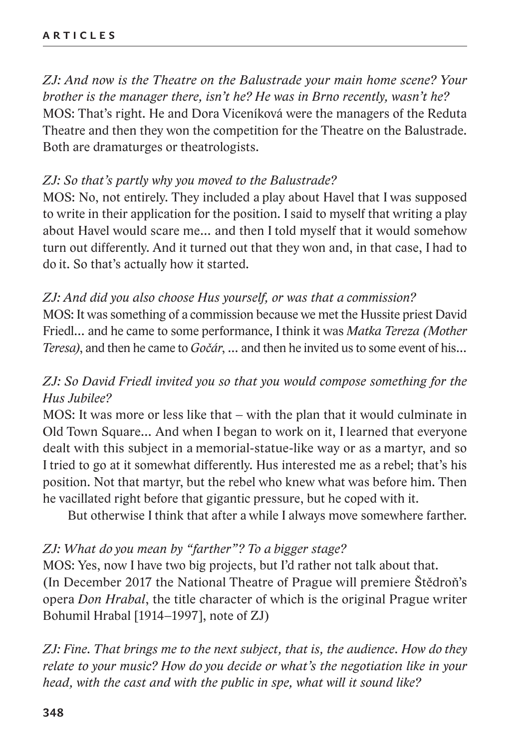*ZJ: And now is the Theatre on the Balustrade your main home scene? Your brother is the manager there, isn't he? He was in Brno recently, wasn't he?*  MOS: That's right. He and Dora Viceníková were the managers of the Reduta Theatre and then they won the competition for the Theatre on the Balustrade. Both are dramaturges or theatrologists.

### *ZJ: So that's partly why you moved to the Balustrade?*

MOS: No, not entirely. They included a play about Havel that I was supposed to write in their application for the position. I said to myself that writing a play about Havel would scare me… and then I told myself that it would somehow turn out differently. And it turned out that they won and, in that case, I had to do it. So that's actually how it started.

### *ZJ: And did you also choose Hus yourself, or was that a commission?*

MOS: It was something of a commission because we met the Hussite priest David Friedl… and he came to some performance, Ithink it was *Matka Tereza (Mother Teresa)*, and then he came to *Gočár*, … and then he invited us to some event of his…

# *ZJ: So David Friedl invited you so that you would compose something for the Hus Jubilee?*

MOS: It was more or less like that – with the plan that it would culminate in Old Town Square… And when I began to work on it, I learned that everyone dealt with this subject in a memorial-statue-like way or as a martyr, and so I tried to go at it somewhat differently. Hus interested me as a rebel; that's his position. Not that martyr, but the rebel who knew what was before him. Then he vacillated right before that gigantic pressure, but he coped with it.

But otherwise I think that after a while I always move somewhere farther.

#### *ZJ: What do you mean by "farther"? To a bigger stage?*

MOS: Yes, now I have two big projects, but I'd rather not talk about that. (In December 2017 the National Theatre of Prague will premiere Štědroň's opera *Don Hrabal*, the title character of which is the original Prague writer Bohumil Hrabal [1914–1997], note of ZJ)

*ZJ: Fine. That brings me to the next subject, that is, the audience. How do they relate to your music? How do you decide or what's the negotiation like in your head, with the cast and with the public in spe, what will it sound like?*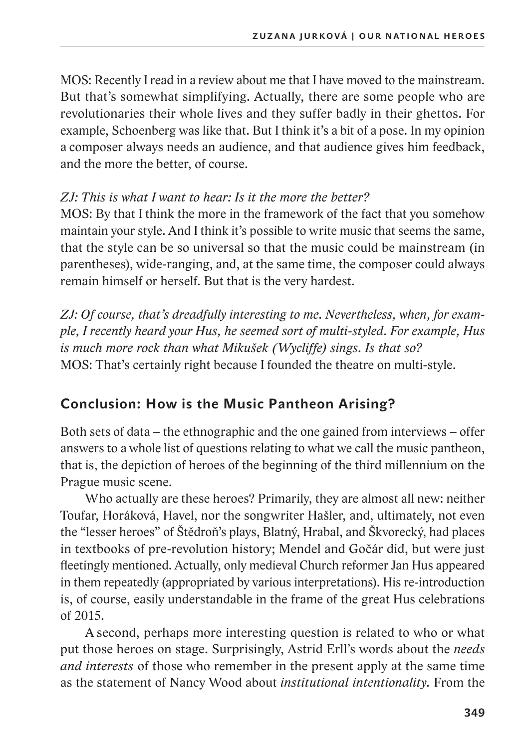MOS: Recently Iread in a review about me that I have moved to the mainstream. But that's somewhat simplifying. Actually, there are some people who are revolutionaries their whole lives and they suffer badly in their ghettos. For example, Schoenberg was like that. But I think it's a bit of a pose. In my opinion a composer always needs an audience, and that audience gives him feedback, and the more the better, of course.

## *ZJ: This is what I want to hear: Is it the more the better?*

MOS: By that I think the more in the framework of the fact that you somehow maintain your style. And I think it's possible to write music that seems the same, that the style can be so universal so that the music could be mainstream (in parentheses), wide-ranging, and, at the same time, the composer could always remain himself or herself. But that is the very hardest.

*ZJ: Of course, that's dreadfully interesting to me. Nevertheless, when, for example, I recently heard your Hus, he seemed sort of multi-styled. For example, Hus is much more rock than what Mikušek (Wycliffe) sings. Is that so?* MOS: That's certainly right because I founded the theatre on multi-style.

# **Conclusion: How is the Music Pantheon Arising?**

Both sets of data – the ethnographic and the one gained from interviews – offer answers to a whole list of questions relating to what we call the music pantheon, that is, the depiction of heroes of the beginning of the third millennium on the Prague music scene.

Who actually are these heroes? Primarily, they are almost all new: neither Toufar, Horáková, Havel, nor the songwriter Hašler, and, ultimately, not even the "lesser heroes" of Štědroň's plays, Blatný, Hrabal, and Škvorecký, had places in textbooks of pre-revolution history; Mendel and Gočár did, but were just fleetingly mentioned. Actually, only medieval Church reformer Jan Hus appeared in them repeatedly (appropriated by various interpretations). His re-introduction is, of course, easily understandable in the frame of the great Hus celebrations of 2015.

A second, perhaps more interesting question is related to who or what put those heroes on stage. Surprisingly, Astrid Erll's words about the *needs and interests* of those who remember in the present apply at the same time as the statement of Nancy Wood about *institutional intentionality.* From the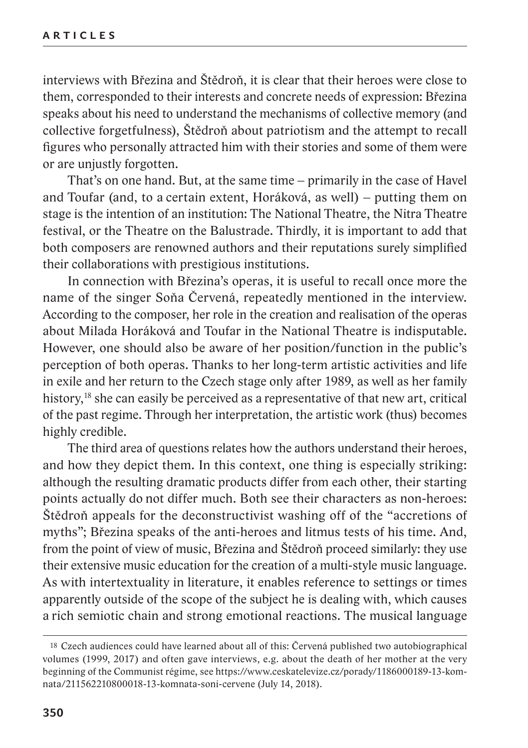interviews with Březina and Štědroň, it is clear that their heroes were close to them, corresponded to their interests and concrete needs of expression: Březina speaks about his need to understand the mechanisms of collective memory (and collective forgetfulness), Štědroň about patriotism and the attempt to recall figures who personally attracted him with their stories and some of them were or are unjustly forgotten.

That's on one hand. But, at the same time – primarily in the case of Havel and Toufar (and, to a certain extent, Horáková, as well) – putting them on stage is the intention of an institution: The National Theatre, the Nitra Theatre festival, or the Theatre on the Balustrade. Thirdly, it is important to add that both composers are renowned authors and their reputations surely simplified their collaborations with prestigious institutions.

In connection with Březina's operas, it is useful to recall once more the name of the singer Soňa Červená, repeatedly mentioned in the interview. According to the composer, her role in the creation and realisation of the operas about Milada Horáková and Toufar in the National Theatre is indisputable. However, one should also be aware of her position/function in the public's perception of both operas. Thanks to her long-term artistic activities and life in exile and her return to the Czech stage only after 1989, as well as her family history,<sup>18</sup> she can easily be perceived as a representative of that new art, critical of the past regime. Through her interpretation, the artistic work (thus) becomes highly credible.

The third area of questions relates how the authors understand their heroes, and how they depict them. In this context, one thing is especially striking: although the resulting dramatic products differ from each other, their starting points actually do not differ much. Both see their characters as non-heroes: Štědroň appeals for the deconstructivist washing off of the "accretions of myths"; Březina speaks of the anti-heroes and litmus tests of his time. And, from the point of view of music, Březina and Štědroň proceed similarly: they use their extensive music education for the creation of a multi-style music language. As with intertextuality in literature, it enables reference to settings or times apparently outside of the scope of the subject he is dealing with, which causes a rich semiotic chain and strong emotional reactions. The musical language

<sup>18</sup> Czech audiences could have learned about all of this: Červená published two autobiographical volumes (1999, 2017) and often gave interviews, e.g. about the death of her mother at the very beginning of the Communist régime, see https://www.ceskatelevize.cz/porady/1186000189-13-komnata/211562210800018-13-komnata-soni-cervene (July 14, 2018).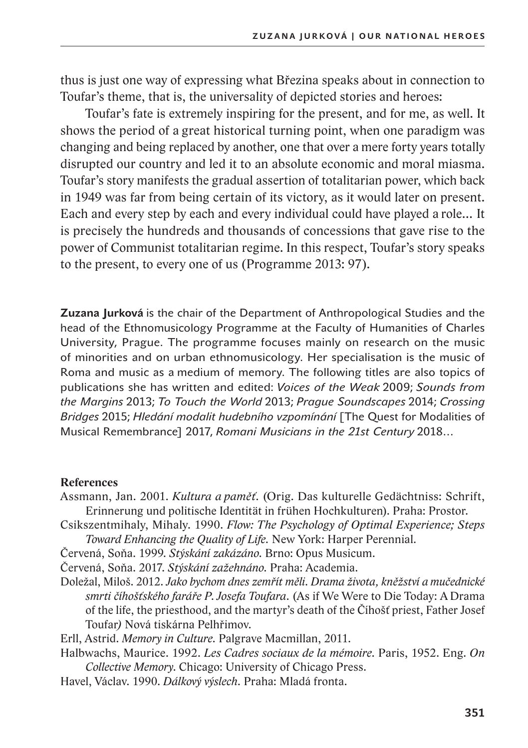thus is just one way of expressing what Březina speaks about in connection to Toufar's theme, that is, the universality of depicted stories and heroes:

Toufar's fate is extremely inspiring for the present, and for me, as well. It shows the period of a great historical turning point, when one paradigm was changing and being replaced by another, one that over a mere forty years totally disrupted our country and led it to an absolute economic and moral miasma. Toufar's story manifests the gradual assertion of totalitarian power, which back in 1949 was far from being certain of its victory, as it would later on present. Each and every step by each and every individual could have played a role… It is precisely the hundreds and thousands of concessions that gave rise to the power of Communist totalitarian regime. In this respect, Toufar's story speaks to the present, to every one of us (Programme 2013: 97).

**Zuzana Jurková** is the chair of the Department of Anthropological Studies and the head of the Ethnomusicology Programme at the Faculty of Humanities of Charles University, Prague. The programme focuses mainly on research on the music of minorities and on urban ethnomusicology. Her specialisation is the music of Roma and music as a medium of memory. The following titles are also topics of publications she has written and edited: *Voices of the Weak* 2009; *Sounds from the Margins* 2013; *To Touch the World* 2013; *Prague Soundscapes* 2014; *Crossing Bridges* 2015; *Hledání modalit hudebního vzpomínání* [The Quest for Modalities of Musical Remembrance] 2017, *Romani Musicians in the 21st Century* 2018…

#### **References**

- Assmann, Jan. 2001. *Kultura a paměť.* (Orig. Das kulturelle Gedächtniss: Schrift, Erinnerung und politische Identität in frühen Hochkulturen). Praha: Prostor.
- Csikszentmihaly, Mihaly. 1990. *Flow: The Psychology of Optimal Experience; Steps Toward Enhancing the Quality of Life.* New York: Harper Perennial.
- Červená, Soňa. 1999. *Stýskání zakázáno.* Brno: Opus Musicum.

Červená, Soňa. 2017. *Stýskání zažehnáno.* Praha: Academia.

Doležal, Miloš. 2012. *Jako bychom dnes zemřít měli. Drama života, kněžství a mučednické smrti číhošťského faráře P.Josefa Toufara.* (As if We Were to Die Today: A Drama of the life, the priesthood, and the martyr's death of the Číhošť priest, Father Josef Toufar*)* Nová tiskárna Pelhřimov.

Erll, Astrid. *Memory in Culture.* Palgrave Macmillan, 2011.

Halbwachs, Maurice. 1992. *Les Cadres sociaux de la mémoire.* Paris, 1952. Eng. *On Collective Memory*. Chicago: University of Chicago Press.

Havel, Václav. 1990. *Dálkový výslech.* Praha: Mladá fronta.